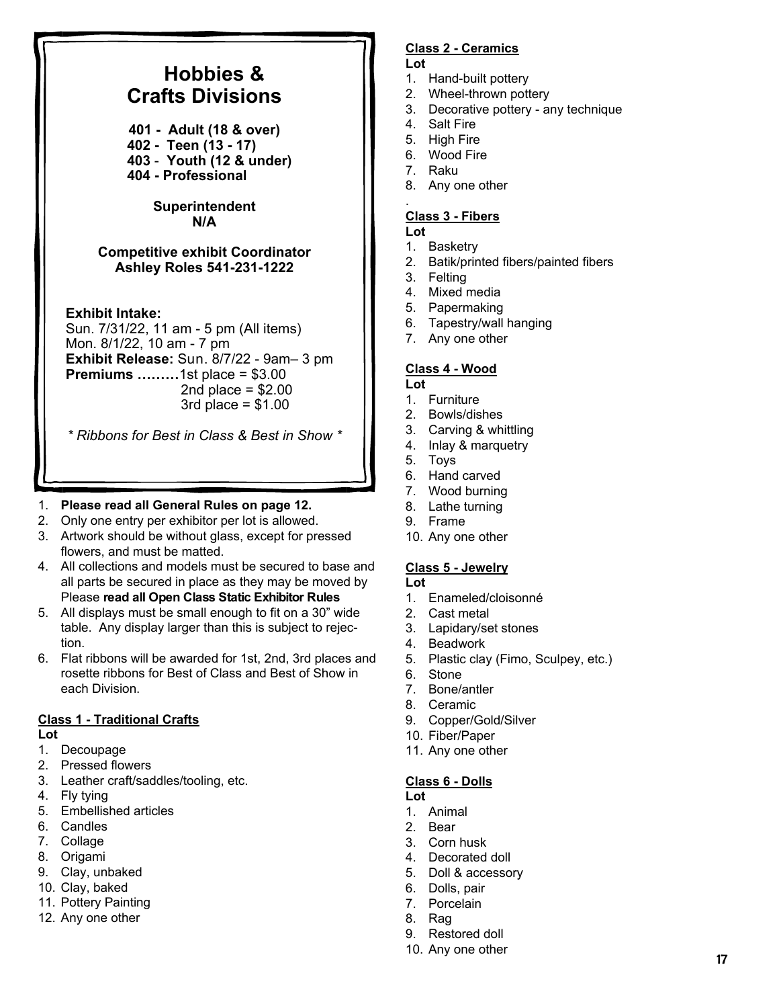#### **Hobbies & Crafts Divisions 401 - Adult (18 & over) 402 - Teen (13 - 17) 403** - **Youth (12 & under) 404 - Professional Superintendent N/A Competitive exhibit Coordinator Ashley Roles 541-231-1222 Exhibit Intake:**  Sun. 7/31/22, 11 am - 5 pm (All items) Mon. 8/1/22, 10 am - 7 pm **Exhibit Release:** Sun. 8/7/22 - 9am– 3 pm **Premiums ………**1st place = \$3.00 2nd place  $= $2.00$  $3rd$  place =  $$1.00$ **Lot**  4. Salt Fire 5. High Fire 7. Raku . **Lot**  1. Basketry 3. Felting 4. Mixed media **Lot**

*\* Ribbons for Best in Class & Best in Show \** 

## 1. **Please read all General Rules on page 12.**

- 2. Only one entry per exhibitor per lot is allowed.
- 3. Artwork should be without glass, except for pressed flowers, and must be matted.
- 4. All collections and models must be secured to base and all parts be secured in place as they may be moved by Please **read all Open Class Static Exhibitor Rules**
- 5. All displays must be small enough to fit on a 30" wide table. Any display larger than this is subject to rejection.
- 6. Flat ribbons will be awarded for 1st, 2nd, 3rd places and rosette ribbons for Best of Class and Best of Show in each Division.

## **Class 1 - Traditional Crafts**

**Lot** 

- 1. Decoupage
- 2. Pressed flowers
- 3. Leather craft/saddles/tooling, etc.
- 4. Fly tying
- 5. Embellished articles
- 6. Candles
- 7. Collage
- 8. Origami
- 9. Clay, unbaked
- 10. Clay, baked
- 11. Pottery Painting
- 12. Any one other

# **Class 2 - Ceramics**

- 1. Hand-built pottery
- 2. Wheel-thrown pottery
- 3. Decorative pottery any technique
- 
- 
- 6. Wood Fire
- 8. Any one other

# **Class 3 - Fibers**

- 
- 2. Batik/printed fibers/painted fibers
- 
- 5. Papermaking
- 6. Tapestry/wall hanging
- 7. Any one other

## **Class 4 - Wood**

- 1. Furniture
- 2. Bowls/dishes
- 3. Carving & whittling
- 4. Inlay & marquetry
- 5. Toys
- 6. Hand carved
- 7. Wood burning
- 8. Lathe turning
- 9. Frame
- 10. Any one other

# **Class 5 - Jewelry**

- **Lot**
- 1. Enameled/cloisonné
- 2. Cast metal
- 3. Lapidary/set stones
- 4. Beadwork
- 5. Plastic clay (Fimo, Sculpey, etc.)
- 6. Stone
- 7. Bone/antler
- 8. Ceramic
- 9. Copper/Gold/Silver
- 10. Fiber/Paper
- 11. Any one other

# **Class 6 - Dolls**

- **Lot**
- 1. Animal
- 2. Bear
- 3. Corn husk
- 4. Decorated doll
- 5. Doll & accessory
- 6. Dolls, pair 7. Porcelain
- 8. Rag
- 9. Restored doll
- 10. Any one other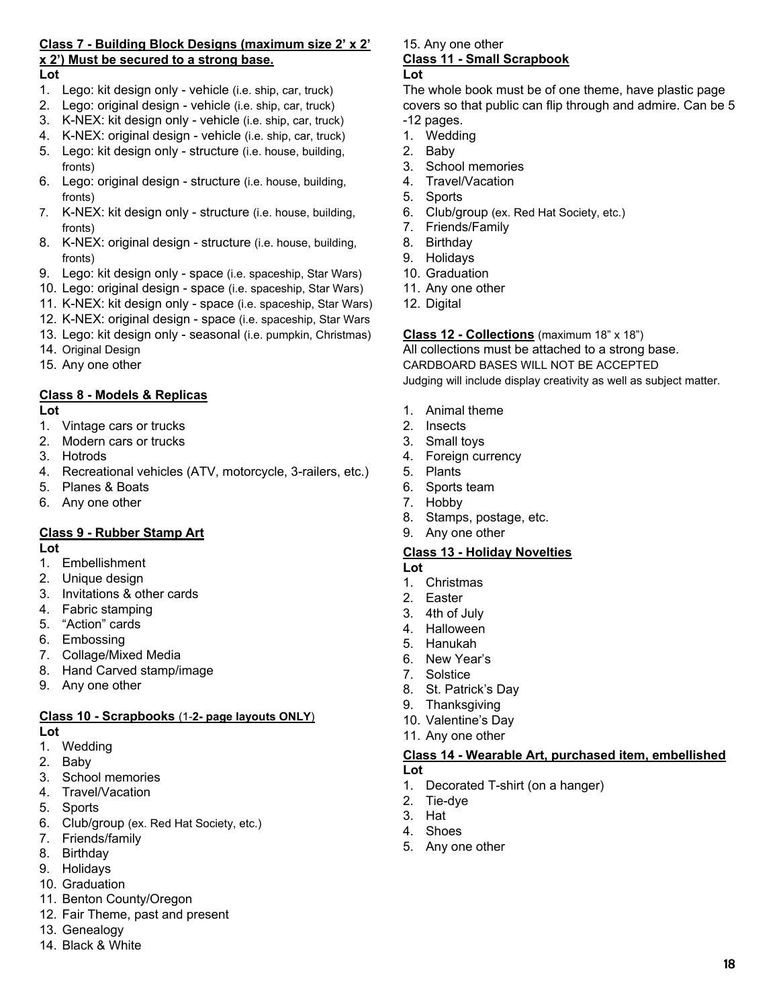# **Class 7 - Building Block Designs (maximum size 2' x 2' x 2') Must be secured to a strong base.**

#### **Lot**

- 1. Lego: kit design only vehicle (i.e. ship, car, truck)
- 2. Lego: original design vehicle (i.e. ship, car, truck)
- 3. K-NEX: kit design only vehicle (i.e. ship, car, truck)
- 4. K-NEX: original design vehicle (i.e. ship, car, truck)
- 5. Lego: kit design only structure (i.e. house, building, fronts)
- 6. Lego: original design structure (i.e. house, building, fronts)
- 7. K-NEX: kit design only structure (i.e. house, building, fronts)
- 8. K-NEX: original design structure (i.e. house, building, fronts)
- 9. Lego: kit design only space (i.e. spaceship, Star Wars)
- 10. Lego: original design space (i.e. spaceship, Star Wars)
- 11. K-NEX: kit design only space (i.e. spaceship, Star Wars)
- 12. K-NEX: original design space (i.e. spaceship, Star Wars
- 13. Lego: kit design only seasonal (i.e. pumpkin, Christmas)
- 14. Original Design
- 15. Any one other

## **Class 8 - Models & Replicas**

**Lot** 

- 1. Vintage cars or trucks
- 2. Modern cars or trucks
- 3. Hotrods
- 4. Recreational vehicles (ATV, motorcycle, 3-railers, etc.)
- 5. Planes & Boats
- 6. Any one other

## **Class 9 - Rubber Stamp Art**

**Lot** 

- 1. Embellishment
- 2. Unique design
- 3. Invitations & other cards
- 4. Fabric stamping
- 5. "Action" cards
- 6. Embossing
- 7. Collage/Mixed Media
- 8. Hand Carved stamp/image
- 9. Any one other

#### **Class 10 - Scrapbooks** (1-**2- page layouts ONLY**)

### **Lot**

- 1. Wedding
- 2. Baby
- 3. School memories
- 4. Travel/Vacation
- 5. Sports
- 6. Club/group (ex. Red Hat Society, etc.)
- 7. Friends/family
- 8. Birthday
- 9. Holidays
- 10. Graduation
- 11. Benton County/Oregon
- 12. Fair Theme, past and present
- 13. Genealogy
- 14. Black & White

#### 15. Any one other **Class 11 - Small Scrapbook Lot**

The whole book must be of one theme, have plastic page covers so that public can flip through and admire. Can be 5 -12 pages.

- 1. Wedding
- 2. Baby
- 3. School memories
- 4. Travel/Vacation
- 5. Sports
- 6. Club/group (ex. Red Hat Society, etc.)
- 7. Friends/Family
- 8. Birthday
- 9. Holidays
- 10. Graduation
- 11. Any one other
- 12. Digital

#### **Class 12 - Collections** (maximum 18" x 18")

All collections must be attached to a strong base. CARDBOARD BASES WILL NOT BE ACCEPTED Judging will include display creativity as well as subject matter.

- 1. Animal theme
- 2. Insects
- 3. Small toys
- 4. Foreign currency
- 5. Plants
- 6. Sports team
- 7. Hobby
- 8. Stamps, postage, etc.
- 9. Any one other

### **Class 13 - Holiday Novelties**

- **Lot**
- 1. Christmas
- 2. Easter
- 3. 4th of July
- 4. Halloween
- 5. Hanukah
- 6. New Year's
- 7. Solstice
- 8. St. Patrick's Day
- 9. Thanksgiving 10. Valentine's Day
- 11. Any one other
- 

#### **Class 14 - Wearable Art, purchased item, embellished Lot**

- 1. Decorated T-shirt (on a hanger)
- 2. Tie-dye
- 3. Hat
- 4. Shoes
- 5. Any one other